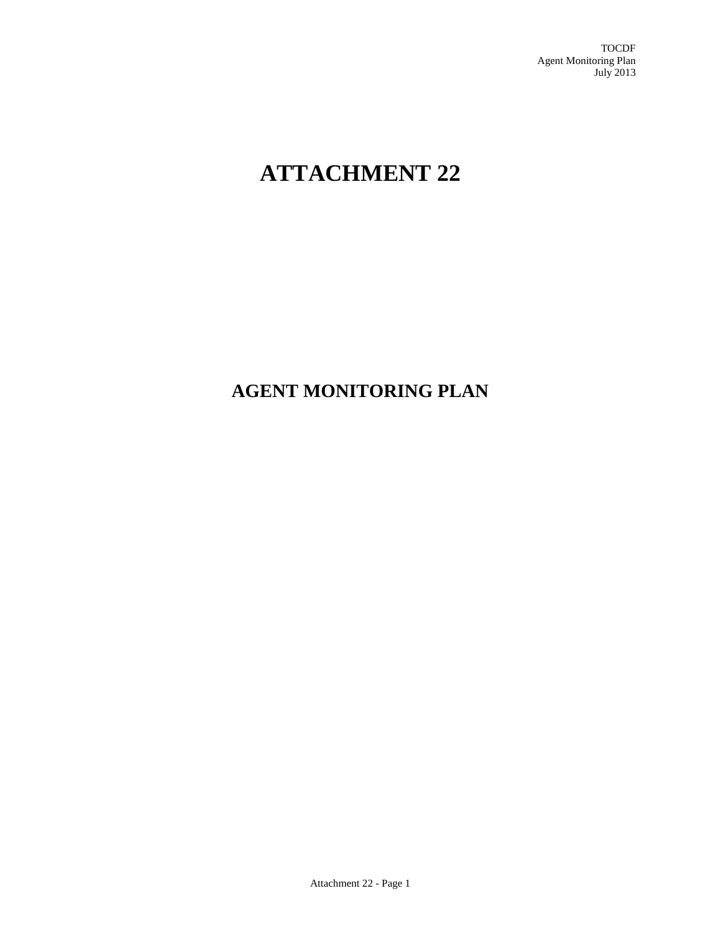TOCDF Agent Monitoring Plan July 2013

# **ATTACHMENT 22**

## **AGENT MONITORING PLAN**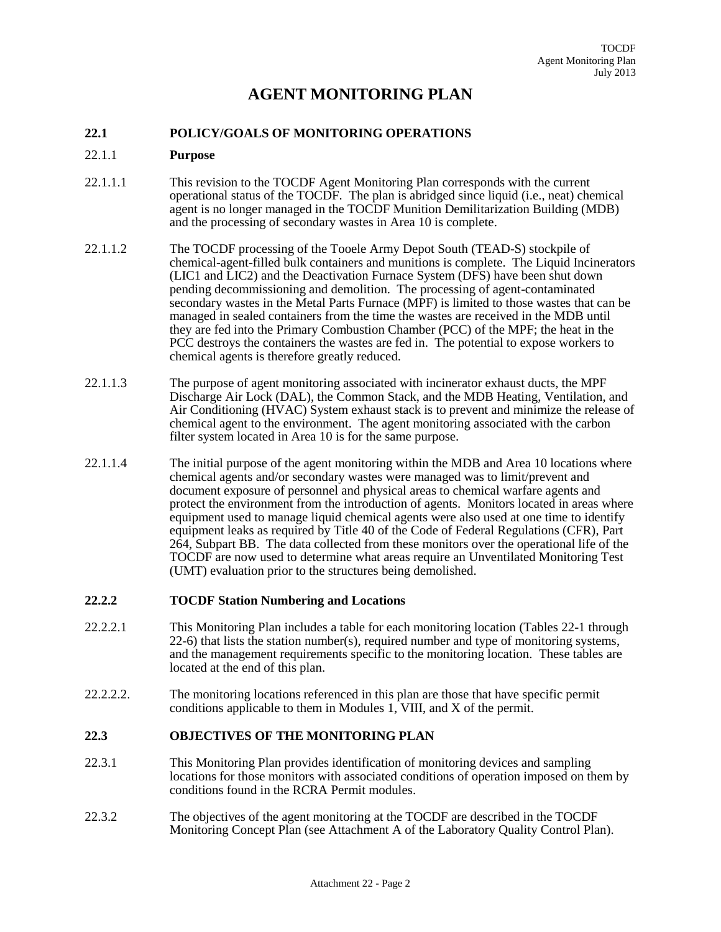### **AGENT MONITORING PLAN**

#### **22.1 POLICY/GOALS OF MONITORING OPERATIONS**

#### 22.1.1 **Purpose**

- 22.1.1.1 This revision to the TOCDF Agent Monitoring Plan corresponds with the current operational status of the TOCDF. The plan is abridged since liquid (i.e., neat) chemical agent is no longer managed in the TOCDF Munition Demilitarization Building (MDB) and the processing of secondary wastes in Area 10 is complete.
- 22.1.1.2 The TOCDF processing of the Tooele Army Depot South (TEAD-S) stockpile of chemical-agent-filled bulk containers and munitions is complete. The Liquid Incinerators (LIC1 and LIC2) and the Deactivation Furnace System (DFS) have been shut down pending decommissioning and demolition. The processing of agent-contaminated secondary wastes in the Metal Parts Furnace (MPF) is limited to those wastes that can be managed in sealed containers from the time the wastes are received in the MDB until they are fed into the Primary Combustion Chamber (PCC) of the MPF; the heat in the PCC destroys the containers the wastes are fed in. The potential to expose workers to chemical agents is therefore greatly reduced.
- 22.1.1.3 The purpose of agent monitoring associated with incinerator exhaust ducts, the MPF Discharge Air Lock (DAL), the Common Stack, and the MDB Heating, Ventilation, and Air Conditioning (HVAC) System exhaust stack is to prevent and minimize the release of chemical agent to the environment. The agent monitoring associated with the carbon filter system located in Area 10 is for the same purpose.
- 22.1.1.4 The initial purpose of the agent monitoring within the MDB and Area 10 locations where chemical agents and/or secondary wastes were managed was to limit/prevent and document exposure of personnel and physical areas to chemical warfare agents and protect the environment from the introduction of agents. Monitors located in areas where equipment used to manage liquid chemical agents were also used at one time to identify equipment leaks as required by Title 40 of the Code of Federal Regulations (CFR), Part 264, Subpart BB. The data collected from these monitors over the operational life of the TOCDF are now used to determine what areas require an Unventilated Monitoring Test (UMT) evaluation prior to the structures being demolished.

#### **22.2.2 TOCDF Station Numbering and Locations**

- 22.2.2.1 This Monitoring Plan includes a table for each monitoring location (Tables 22-1 through 22-6) that lists the station number(s), required number and type of monitoring systems, and the management requirements specific to the monitoring location. These tables are located at the end of this plan.
- 22.2.2.2. The monitoring locations referenced in this plan are those that have specific permit conditions applicable to them in Modules 1, VIII, and X of the permit.

#### **22.3 OBJECTIVES OF THE MONITORING PLAN**

- 22.3.1 This Monitoring Plan provides identification of monitoring devices and sampling locations for those monitors with associated conditions of operation imposed on them by conditions found in the RCRA Permit modules.
- 22.3.2 The objectives of the agent monitoring at the TOCDF are described in the TOCDF Monitoring Concept Plan (see Attachment A of the Laboratory Quality Control Plan).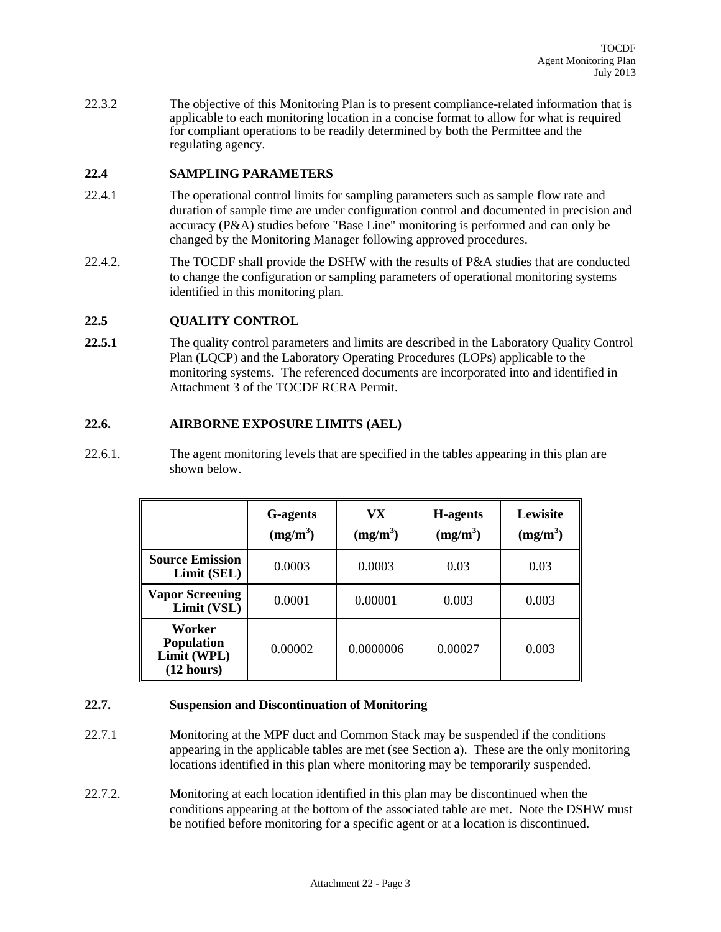22.3.2 The objective of this Monitoring Plan is to present compliance-related information that is applicable to each monitoring location in a concise format to allow for what is required for compliant operations to be readily determined by both the Permittee and the regulating agency.

#### **22.4 SAMPLING PARAMETERS**

- 22.4.1 The operational control limits for sampling parameters such as sample flow rate and duration of sample time are under configuration control and documented in precision and accuracy (P&A) studies before "Base Line" monitoring is performed and can only be changed by the Monitoring Manager following approved procedures.
- 22.4.2. The TOCDF shall provide the DSHW with the results of P&A studies that are conducted to change the configuration or sampling parameters of operational monitoring systems identified in this monitoring plan.

#### **22.5 QUALITY CONTROL**

22.5.1 The quality control parameters and limits are described in the Laboratory Quality Control Plan (LQCP) and the Laboratory Operating Procedures (LOPs) applicable to the monitoring systems. The referenced documents are incorporated into and identified in Attachment 3 of the TOCDF RCRA Permit.

#### **22.6. AIRBORNE EXPOSURE LIMITS (AEL)**

22.6.1. The agent monitoring levels that are specified in the tables appearing in this plan are shown below.

|                                                          | <b>G</b> -agents<br>$(mg/m^3)$ | VX<br>$(mg/m^3)$ | H-agents<br>(mg/m <sup>3</sup> ) | Lewisite<br>$(mg/m^3)$ |
|----------------------------------------------------------|--------------------------------|------------------|----------------------------------|------------------------|
| <b>Source Emission</b><br>Limit (SEL)                    | 0.0003                         | 0.0003           | 0.03                             | 0.03                   |
| <b>Vapor Screening</b><br>Limit (VSL)                    | 0.0001                         | 0.00001          | 0.003                            | 0.003                  |
| Worker<br><b>Population</b><br>Limit (WPL)<br>(12 hours) | 0.00002                        | 0.0000006        | 0.00027                          | 0.003                  |

#### **22.7. Suspension and Discontinuation of Monitoring**

- 22.7.1 Monitoring at the MPF duct and Common Stack may be suspended if the conditions appearing in the applicable tables are met (see Section a). These are the only monitoring locations identified in this plan where monitoring may be temporarily suspended.
- 22.7.2. Monitoring at each location identified in this plan may be discontinued when the conditions appearing at the bottom of the associated table are met. Note the DSHW must be notified before monitoring for a specific agent or at a location is discontinued.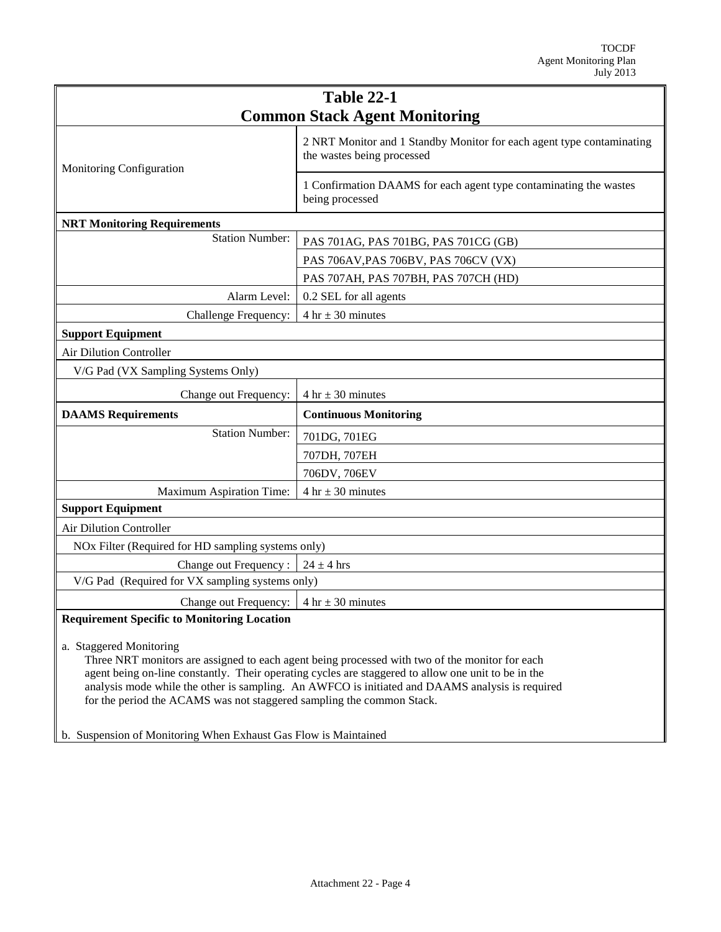| <b>Table 22-1</b>                                                                                                                                                                                                                                                                                                                                                                                                                                                               |                                                                                                     |  |
|---------------------------------------------------------------------------------------------------------------------------------------------------------------------------------------------------------------------------------------------------------------------------------------------------------------------------------------------------------------------------------------------------------------------------------------------------------------------------------|-----------------------------------------------------------------------------------------------------|--|
| <b>Common Stack Agent Monitoring</b>                                                                                                                                                                                                                                                                                                                                                                                                                                            |                                                                                                     |  |
| Monitoring Configuration                                                                                                                                                                                                                                                                                                                                                                                                                                                        | 2 NRT Monitor and 1 Standby Monitor for each agent type contaminating<br>the wastes being processed |  |
|                                                                                                                                                                                                                                                                                                                                                                                                                                                                                 | 1 Confirmation DAAMS for each agent type contaminating the wastes<br>being processed                |  |
| <b>NRT Monitoring Requirements</b>                                                                                                                                                                                                                                                                                                                                                                                                                                              |                                                                                                     |  |
| <b>Station Number:</b>                                                                                                                                                                                                                                                                                                                                                                                                                                                          | PAS 701AG, PAS 701BG, PAS 701CG (GB)                                                                |  |
|                                                                                                                                                                                                                                                                                                                                                                                                                                                                                 | PAS 706AV, PAS 706BV, PAS 706CV (VX)                                                                |  |
|                                                                                                                                                                                                                                                                                                                                                                                                                                                                                 | PAS 707AH, PAS 707BH, PAS 707CH (HD)                                                                |  |
| Alarm Level:                                                                                                                                                                                                                                                                                                                                                                                                                                                                    | 0.2 SEL for all agents                                                                              |  |
| Challenge Frequency:                                                                                                                                                                                                                                                                                                                                                                                                                                                            | 4 hr $\pm$ 30 minutes                                                                               |  |
| <b>Support Equipment</b>                                                                                                                                                                                                                                                                                                                                                                                                                                                        |                                                                                                     |  |
| Air Dilution Controller                                                                                                                                                                                                                                                                                                                                                                                                                                                         |                                                                                                     |  |
| V/G Pad (VX Sampling Systems Only)                                                                                                                                                                                                                                                                                                                                                                                                                                              |                                                                                                     |  |
| Change out Frequency:                                                                                                                                                                                                                                                                                                                                                                                                                                                           | 4 hr $\pm$ 30 minutes                                                                               |  |
| <b>DAAMS</b> Requirements                                                                                                                                                                                                                                                                                                                                                                                                                                                       | <b>Continuous Monitoring</b>                                                                        |  |
| <b>Station Number:</b>                                                                                                                                                                                                                                                                                                                                                                                                                                                          | 701DG, 701EG                                                                                        |  |
|                                                                                                                                                                                                                                                                                                                                                                                                                                                                                 | 707DH, 707EH                                                                                        |  |
|                                                                                                                                                                                                                                                                                                                                                                                                                                                                                 | 706DV, 706EV                                                                                        |  |
| Maximum Aspiration Time:                                                                                                                                                                                                                                                                                                                                                                                                                                                        | $4 \text{ hr} \pm 30 \text{ minutes}$                                                               |  |
| <b>Support Equipment</b>                                                                                                                                                                                                                                                                                                                                                                                                                                                        |                                                                                                     |  |
| Air Dilution Controller                                                                                                                                                                                                                                                                                                                                                                                                                                                         |                                                                                                     |  |
| NOx Filter (Required for HD sampling systems only)                                                                                                                                                                                                                                                                                                                                                                                                                              |                                                                                                     |  |
| Change out Frequency:                                                                                                                                                                                                                                                                                                                                                                                                                                                           | $24 \pm 4$ hrs                                                                                      |  |
| V/G Pad (Required for VX sampling systems only)                                                                                                                                                                                                                                                                                                                                                                                                                                 |                                                                                                     |  |
| Change out Frequency:<br>$4 \text{ hr} \pm 30 \text{ minutes}$                                                                                                                                                                                                                                                                                                                                                                                                                  |                                                                                                     |  |
| <b>Requirement Specific to Monitoring Location</b>                                                                                                                                                                                                                                                                                                                                                                                                                              |                                                                                                     |  |
| a. Staggered Monitoring<br>Three NRT monitors are assigned to each agent being processed with two of the monitor for each<br>agent being on-line constantly. Their operating cycles are staggered to allow one unit to be in the<br>analysis mode while the other is sampling. An AWFCO is initiated and DAAMS analysis is required<br>for the period the ACAMS was not staggered sampling the common Stack.<br>b. Suspension of Monitoring When Exhaust Gas Flow is Maintained |                                                                                                     |  |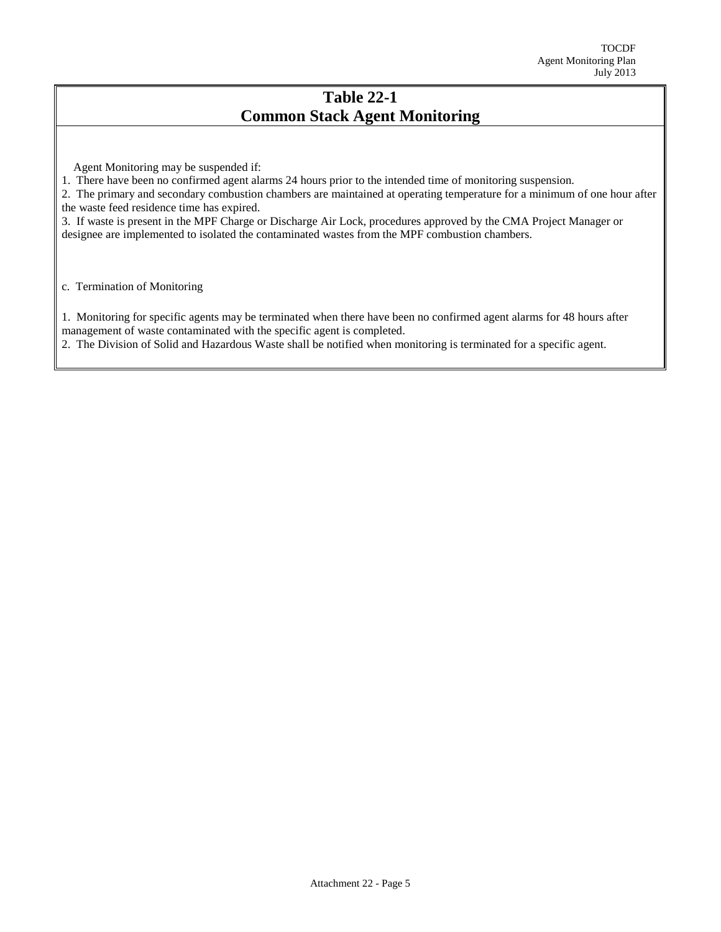## **Table 22-1 Common Stack Agent Monitoring**

Agent Monitoring may be suspended if:

1. There have been no confirmed agent alarms 24 hours prior to the intended time of monitoring suspension.

2. The primary and secondary combustion chambers are maintained at operating temperature for a minimum of one hour after the waste feed residence time has expired.

3. If waste is present in the MPF Charge or Discharge Air Lock, procedures approved by the CMA Project Manager or designee are implemented to isolated the contaminated wastes from the MPF combustion chambers.

c. Termination of Monitoring

1. Monitoring for specific agents may be terminated when there have been no confirmed agent alarms for 48 hours after management of waste contaminated with the specific agent is completed.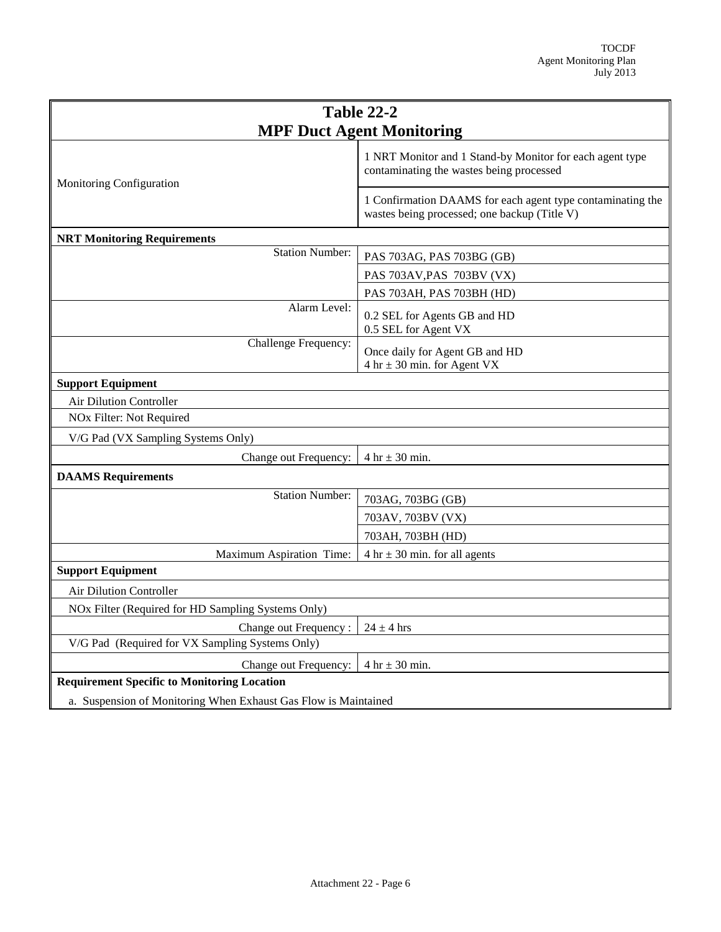| <b>Table 22-2</b>                                               |                                                                                                            |  |
|-----------------------------------------------------------------|------------------------------------------------------------------------------------------------------------|--|
| <b>MPF Duct Agent Monitoring</b>                                |                                                                                                            |  |
| Monitoring Configuration                                        | 1 NRT Monitor and 1 Stand-by Monitor for each agent type<br>contaminating the wastes being processed       |  |
|                                                                 | 1 Confirmation DAAMS for each agent type contaminating the<br>wastes being processed; one backup (Title V) |  |
| <b>NRT Monitoring Requirements</b>                              |                                                                                                            |  |
| <b>Station Number:</b>                                          | PAS 703AG, PAS 703BG (GB)                                                                                  |  |
|                                                                 | PAS 703AV, PAS 703BV (VX)                                                                                  |  |
|                                                                 | PAS 703AH, PAS 703BH (HD)                                                                                  |  |
| Alarm Level:                                                    | 0.2 SEL for Agents GB and HD<br>0.5 SEL for Agent VX                                                       |  |
| Challenge Frequency:                                            | Once daily for Agent GB and HD<br>$4 \text{ hr} \pm 30 \text{ min.}$ for Agent VX                          |  |
| <b>Support Equipment</b>                                        |                                                                                                            |  |
| Air Dilution Controller                                         |                                                                                                            |  |
| NO <sub>x</sub> Filter: Not Required                            |                                                                                                            |  |
| V/G Pad (VX Sampling Systems Only)                              |                                                                                                            |  |
| Change out Frequency:                                           | $4 hr \pm 30 min$ .                                                                                        |  |
| <b>DAAMS</b> Requirements                                       |                                                                                                            |  |
| <b>Station Number:</b>                                          | 703AG, 703BG (GB)                                                                                          |  |
|                                                                 | 703AV, 703BV (VX)                                                                                          |  |
|                                                                 | 703AH, 703BH (HD)                                                                                          |  |
| Maximum Aspiration Time:                                        | 4 hr $\pm$ 30 min. for all agents                                                                          |  |
| <b>Support Equipment</b>                                        |                                                                                                            |  |
| <b>Air Dilution Controller</b>                                  |                                                                                                            |  |
| NOx Filter (Required for HD Sampling Systems Only)              |                                                                                                            |  |
| Change out Frequency:                                           | $24 \pm 4$ hrs                                                                                             |  |
| V/G Pad (Required for VX Sampling Systems Only)                 |                                                                                                            |  |
| Change out Frequency:                                           | $4 hr \pm 30 min$ .                                                                                        |  |
| <b>Requirement Specific to Monitoring Location</b>              |                                                                                                            |  |
| a. Suspension of Monitoring When Exhaust Gas Flow is Maintained |                                                                                                            |  |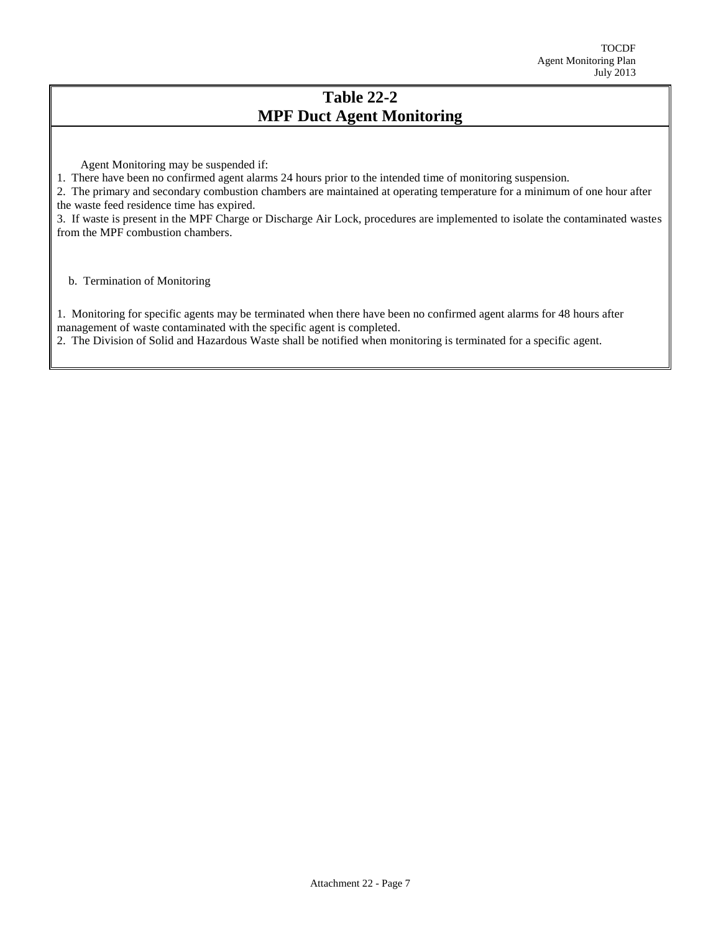## **Table 22-2 MPF Duct Agent Monitoring**

Agent Monitoring may be suspended if:

1. There have been no confirmed agent alarms 24 hours prior to the intended time of monitoring suspension.

2. The primary and secondary combustion chambers are maintained at operating temperature for a minimum of one hour after the waste feed residence time has expired.

3. If waste is present in the MPF Charge or Discharge Air Lock, procedures are implemented to isolate the contaminated wastes from the MPF combustion chambers.

b. Termination of Monitoring

1. Monitoring for specific agents may be terminated when there have been no confirmed agent alarms for 48 hours after management of waste contaminated with the specific agent is completed.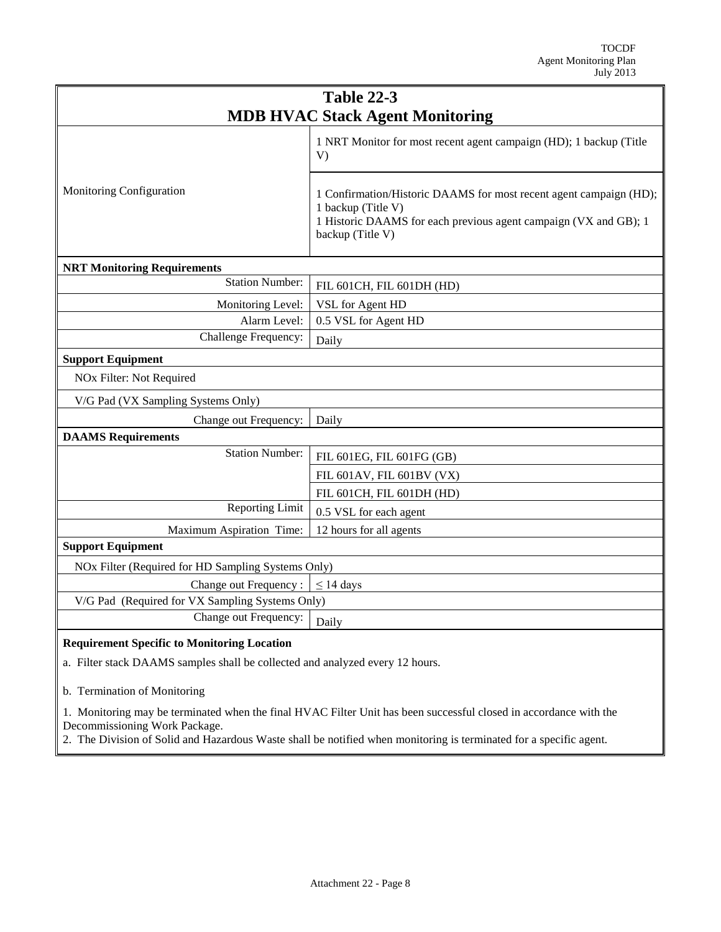| <b>Table 22-3</b><br><b>MDB HVAC Stack Agent Monitoring</b> |                                                                                                                                                                                  |  |
|-------------------------------------------------------------|----------------------------------------------------------------------------------------------------------------------------------------------------------------------------------|--|
|                                                             | 1 NRT Monitor for most recent agent campaign (HD); 1 backup (Title<br>V)                                                                                                         |  |
| Monitoring Configuration                                    | 1 Confirmation/Historic DAAMS for most recent agent campaign (HD);<br>1 backup (Title V)<br>1 Historic DAAMS for each previous agent campaign (VX and GB); 1<br>backup (Title V) |  |
| <b>NRT Monitoring Requirements</b>                          |                                                                                                                                                                                  |  |
| <b>Station Number:</b>                                      | FIL 601CH, FIL 601DH (HD)                                                                                                                                                        |  |
| Monitoring Level:                                           | VSL for Agent HD                                                                                                                                                                 |  |
| Alarm Level:                                                | 0.5 VSL for Agent HD                                                                                                                                                             |  |
| Challenge Frequency:                                        | Daily                                                                                                                                                                            |  |
| <b>Support Equipment</b>                                    |                                                                                                                                                                                  |  |
| NOx Filter: Not Required                                    |                                                                                                                                                                                  |  |
| V/G Pad (VX Sampling Systems Only)                          |                                                                                                                                                                                  |  |
| Change out Frequency:                                       | Daily                                                                                                                                                                            |  |
| <b>DAAMS</b> Requirements                                   |                                                                                                                                                                                  |  |
| <b>Station Number:</b>                                      | FIL 601EG, FIL 601FG (GB)                                                                                                                                                        |  |
|                                                             | FIL 601AV, FIL 601BV (VX)                                                                                                                                                        |  |
|                                                             | FIL 601CH, FIL 601DH (HD)                                                                                                                                                        |  |
| <b>Reporting Limit</b>                                      | 0.5 VSL for each agent                                                                                                                                                           |  |
| Maximum Aspiration Time:                                    | 12 hours for all agents                                                                                                                                                          |  |
| <b>Support Equipment</b>                                    |                                                                                                                                                                                  |  |
| NOx Filter (Required for HD Sampling Systems Only)          |                                                                                                                                                                                  |  |
| Change out Frequency:                                       | $\leq$ 14 days                                                                                                                                                                   |  |
| V/G Pad (Required for VX Sampling Systems Only)             |                                                                                                                                                                                  |  |
| Change out Frequency:                                       | Daily                                                                                                                                                                            |  |
| <b>Requirement Specific to Monitoring Location</b>          |                                                                                                                                                                                  |  |

a. Filter stack DAAMS samples shall be collected and analyzed every 12 hours.

b. Termination of Monitoring

1. Monitoring may be terminated when the final HVAC Filter Unit has been successful closed in accordance with the Decommissioning Work Package.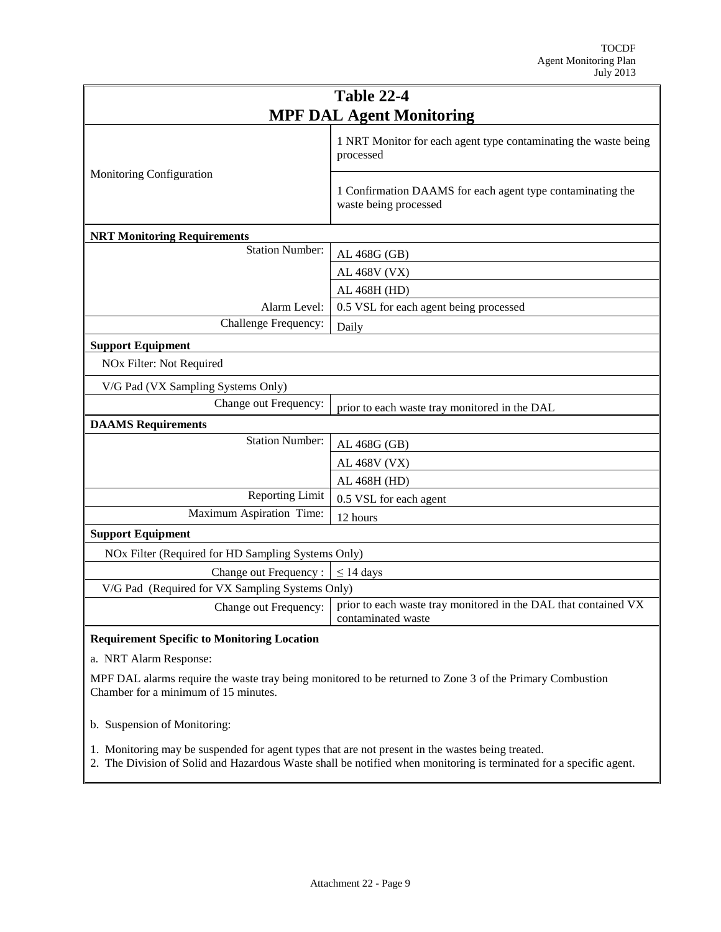| <b>Table 22-4</b>                                  |                                                                                       |  |
|----------------------------------------------------|---------------------------------------------------------------------------------------|--|
| <b>MPF DAL Agent Monitoring</b>                    |                                                                                       |  |
|                                                    | 1 NRT Monitor for each agent type contaminating the waste being<br>processed          |  |
| Monitoring Configuration                           | 1 Confirmation DAAMS for each agent type contaminating the<br>waste being processed   |  |
| <b>NRT Monitoring Requirements</b>                 |                                                                                       |  |
| <b>Station Number:</b>                             | AL 468G (GB)                                                                          |  |
|                                                    | AL 468V (VX)                                                                          |  |
|                                                    | AL 468H (HD)                                                                          |  |
| Alarm Level:                                       | 0.5 VSL for each agent being processed                                                |  |
| Challenge Frequency:                               | Daily                                                                                 |  |
| <b>Support Equipment</b>                           |                                                                                       |  |
| NO <sub>x</sub> Filter: Not Required               |                                                                                       |  |
| V/G Pad (VX Sampling Systems Only)                 |                                                                                       |  |
| Change out Frequency:                              | prior to each waste tray monitored in the DAL                                         |  |
| <b>DAAMS</b> Requirements                          |                                                                                       |  |
| <b>Station Number:</b>                             | AL 468G (GB)                                                                          |  |
|                                                    | AL 468V (VX)                                                                          |  |
|                                                    | AL 468H (HD)                                                                          |  |
| <b>Reporting Limit</b>                             | 0.5 VSL for each agent                                                                |  |
| Maximum Aspiration Time:                           | 12 hours                                                                              |  |
| <b>Support Equipment</b>                           |                                                                                       |  |
| NOx Filter (Required for HD Sampling Systems Only) |                                                                                       |  |
| Change out Frequency:                              | $\leq$ 14 days                                                                        |  |
| V/G Pad (Required for VX Sampling Systems Only)    |                                                                                       |  |
| Change out Frequency:                              | prior to each waste tray monitored in the DAL that contained VX<br>contaminated waste |  |
| <b>Requirement Specific to Monitoring Location</b> |                                                                                       |  |

a. NRT Alarm Response:

MPF DAL alarms require the waste tray being monitored to be returned to Zone 3 of the Primary Combustion Chamber for a minimum of 15 minutes.

b. Suspension of Monitoring:

1. Monitoring may be suspended for agent types that are not present in the wastes being treated.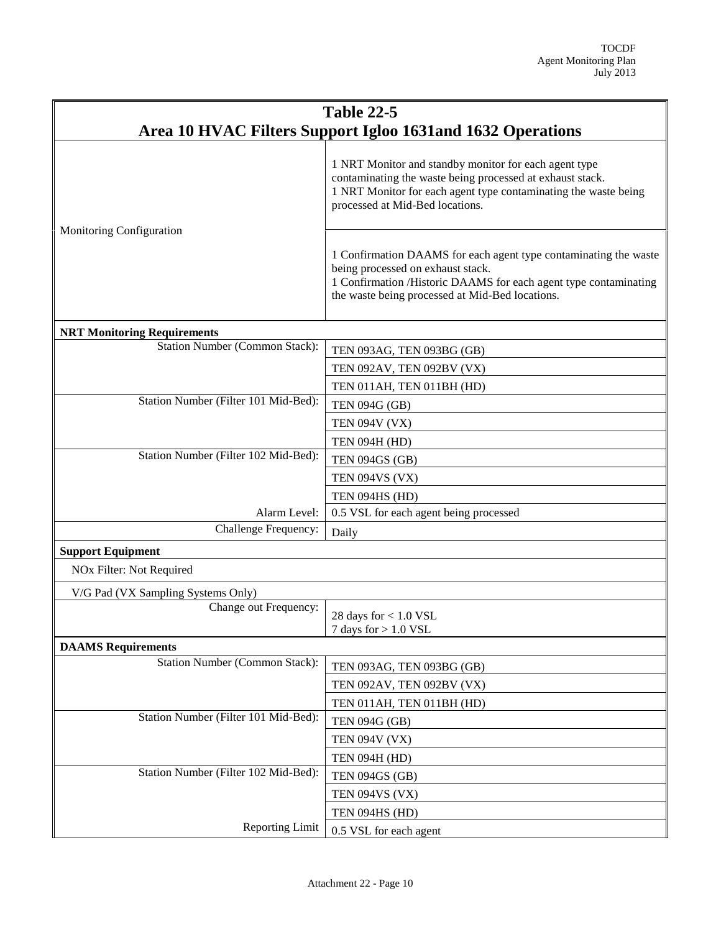| <b>Table 22-5</b>                                          |                                                                                                                                                                                                                              |  |
|------------------------------------------------------------|------------------------------------------------------------------------------------------------------------------------------------------------------------------------------------------------------------------------------|--|
| Area 10 HVAC Filters Support Igloo 1631and 1632 Operations |                                                                                                                                                                                                                              |  |
|                                                            | 1 NRT Monitor and standby monitor for each agent type<br>contaminating the waste being processed at exhaust stack.<br>1 NRT Monitor for each agent type contaminating the waste being<br>processed at Mid-Bed locations.     |  |
| Monitoring Configuration                                   | 1 Confirmation DAAMS for each agent type contaminating the waste<br>being processed on exhaust stack.<br>1 Confirmation /Historic DAAMS for each agent type contaminating<br>the waste being processed at Mid-Bed locations. |  |
| <b>NRT Monitoring Requirements</b>                         |                                                                                                                                                                                                                              |  |
| <b>Station Number (Common Stack):</b>                      | TEN 093AG, TEN 093BG (GB)                                                                                                                                                                                                    |  |
|                                                            | TEN 092AV, TEN 092BV (VX)                                                                                                                                                                                                    |  |
|                                                            | TEN 011AH, TEN 011BH (HD)                                                                                                                                                                                                    |  |
| Station Number (Filter 101 Mid-Bed):                       | <b>TEN 094G (GB)</b>                                                                                                                                                                                                         |  |
|                                                            | <b>TEN 094V (VX)</b>                                                                                                                                                                                                         |  |
|                                                            | <b>TEN 094H (HD)</b>                                                                                                                                                                                                         |  |
| Station Number (Filter 102 Mid-Bed):                       | <b>TEN 094GS (GB)</b>                                                                                                                                                                                                        |  |
|                                                            | <b>TEN 094VS (VX)</b>                                                                                                                                                                                                        |  |
|                                                            | TEN 094HS (HD)                                                                                                                                                                                                               |  |
| Alarm Level:                                               | 0.5 VSL for each agent being processed                                                                                                                                                                                       |  |
| Challenge Frequency:                                       | Daily                                                                                                                                                                                                                        |  |
| <b>Support Equipment</b>                                   |                                                                                                                                                                                                                              |  |
| NO <sub>x</sub> Filter: Not Required                       |                                                                                                                                                                                                                              |  |
| V/G Pad (VX Sampling Systems Only)                         |                                                                                                                                                                                                                              |  |
| Change out Frequency:                                      | 28 days for $< 1.0$ VSL<br>7 days for $> 1.0$ VSL                                                                                                                                                                            |  |
| <b>DAAMS</b> Requirements                                  |                                                                                                                                                                                                                              |  |
| <b>Station Number (Common Stack):</b>                      | TEN 093AG, TEN 093BG (GB)                                                                                                                                                                                                    |  |
|                                                            | TEN 092AV, TEN 092BV (VX)                                                                                                                                                                                                    |  |
|                                                            | TEN 011AH, TEN 011BH (HD)                                                                                                                                                                                                    |  |
| Station Number (Filter 101 Mid-Bed):                       | <b>TEN 094G (GB)</b>                                                                                                                                                                                                         |  |
|                                                            | <b>TEN 094V (VX)</b>                                                                                                                                                                                                         |  |
|                                                            | <b>TEN 094H (HD)</b>                                                                                                                                                                                                         |  |
| Station Number (Filter 102 Mid-Bed):                       | <b>TEN 094GS (GB)</b>                                                                                                                                                                                                        |  |
|                                                            | <b>TEN 094VS (VX)</b>                                                                                                                                                                                                        |  |
|                                                            | TEN 094HS (HD)                                                                                                                                                                                                               |  |
| <b>Reporting Limit</b>                                     | 0.5 VSL for each agent                                                                                                                                                                                                       |  |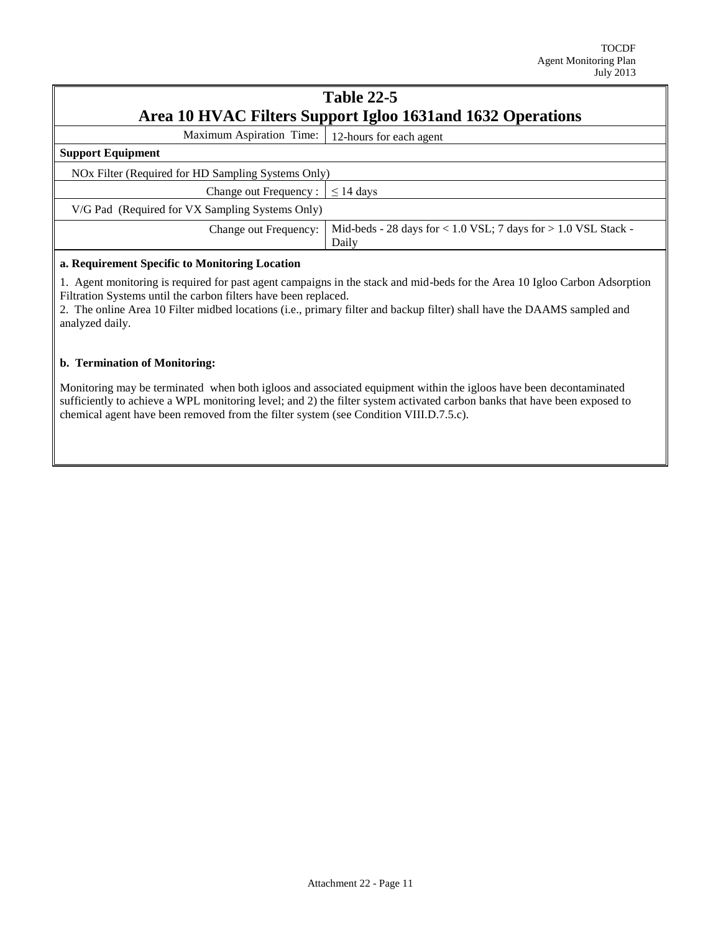## **Table 22-5 Area 10 HVAC Filters Support Igloo 1631and 1632 Operations**

Maximum Aspiration Time: 12-hours for each agent

| <b>Support Equipment</b><br>NOx Filter (Required for HD Sampling Systems Only)<br>Change out Frequency : $\leq 14$ days<br>V/G Pad (Required for VX Sampling Systems Only)<br>Mid-beds - 28 days for $< 1.0$ VSL; 7 days for $> 1.0$ VSL Stack -<br>Change out Frequency:<br>Daily | $12$ hours for each agent |
|------------------------------------------------------------------------------------------------------------------------------------------------------------------------------------------------------------------------------------------------------------------------------------|---------------------------|
|                                                                                                                                                                                                                                                                                    |                           |
|                                                                                                                                                                                                                                                                                    |                           |
|                                                                                                                                                                                                                                                                                    |                           |
|                                                                                                                                                                                                                                                                                    |                           |
|                                                                                                                                                                                                                                                                                    |                           |
|                                                                                                                                                                                                                                                                                    |                           |

#### **a. Requirement Specific to Monitoring Location**

1. Agent monitoring is required for past agent campaigns in the stack and mid-beds for the Area 10 Igloo Carbon Adsorption Filtration Systems until the carbon filters have been replaced.

2. The online Area 10 Filter midbed locations (i.e., primary filter and backup filter) shall have the DAAMS sampled and analyzed daily.

#### **b. Termination of Monitoring:**

Monitoring may be terminated when both igloos and associated equipment within the igloos have been decontaminated sufficiently to achieve a WPL monitoring level; and 2) the filter system activated carbon banks that have been exposed to chemical agent have been removed from the filter system (see Condition VIII.D.7.5.c).